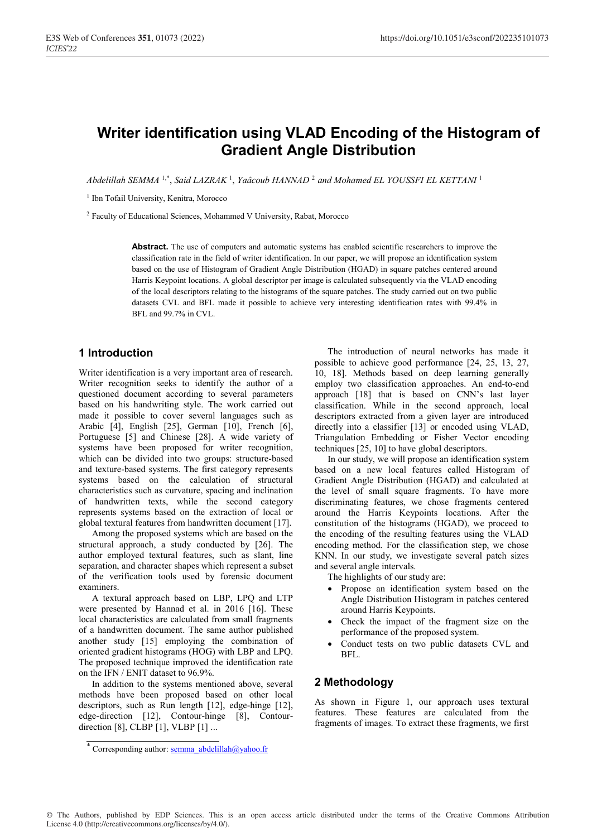# **Writer identification using VLAD Encoding of the Histogram of Gradient Angle Distribution**

*Abdelillah SEMMA* 1,\*, *Said LAZRAK* <sup>1</sup> , *Yaâcoub HANNAD* <sup>2</sup> *and Mohamed EL YOUSSFI EL KETTANI* <sup>1</sup>

<sup>1</sup> Ibn Tofail University, Kenitra, Morocco

2 Faculty of Educational Sciences, Mohammed V University, Rabat, Morocco

Abstract. The use of computers and automatic systems has enabled scientific researchers to improve the classification rate in the field of writer identification. In our paper, we will propose an identification system based on the use of Histogram of Gradient Angle Distribution (HGAD) in square patches centered around Harris Keypoint locations. A global descriptor per image is calculated subsequently via the VLAD encoding of the local descriptors relating to the histograms of the square patches. The study carried out on two public datasets CVL and BFL made it possible to achieve very interesting identification rates with 99.4% in BFL and 99.7% in CVL.

# **1 Introduction**

Writer identification is a very important area of research. Writer recognition seeks to identify the author of a questioned document according to several parameters based on his handwriting style. The work carried out made it possible to cover several languages such as Arabic [4], English [25], German [10], French [6], Portuguese [5] and Chinese [28]. A wide variety of systems have been proposed for writer recognition, which can be divided into two groups: structure-based and texture-based systems. The first category represents systems based on the calculation of structural characteristics such as curvature, spacing and inclination of handwritten texts, while the second category represents systems based on the extraction of local or global textural features from handwritten document [17].

Among the proposed systems which are based on the structural approach, a study conducted by [26]. The author employed textural features, such as slant, line separation, and character shapes which represent a subset of the verification tools used by forensic document examiners.

A textural approach based on LBP, LPQ and LTP were presented by Hannad et al. in 2016 [16]. These local characteristics are calculated from small fragments of a handwritten document. The same author published another study [15] employing the combination of oriented gradient histograms (HOG) with LBP and LPQ. The proposed technique improved the identification rate on the IFN / ENIT dataset to 96.9%.

In addition to the systems mentioned above, several methods have been proposed based on other local descriptors, such as Run length [12], edge-hinge [12], edge-direction [12], Contour-hinge [8], Contourdirection [8], CLBP [1], VLBP [1] ...

The introduction of neural networks has made it possible to achieve good performance [24, 25, 13, 27, 10, 18]. Methods based on deep learning generally employ two classification approaches. An end-to-end approach [18] that is based on CNN's last layer classification. While in the second approach, local descriptors extracted from a given layer are introduced directly into a classifier [13] or encoded using VLAD, Triangulation Embedding or Fisher Vector encoding techniques [25, 10] to have global descriptors.

In our study, we will propose an identification system based on a new local features called Histogram of Gradient Angle Distribution (HGAD) and calculated at the level of small square fragments. To have more discriminating features, we chose fragments centered around the Harris Keypoints locations. After the constitution of the histograms (HGAD), we proceed to the encoding of the resulting features using the VLAD encoding method. For the classification step, we chose KNN. In our study, we investigate several patch sizes and several angle intervals.

The highlights of our study are:

- Propose an identification system based on the Angle Distribution Histogram in patches centered around Harris Keypoints.
- Check the impact of the fragment size on the performance of the proposed system.
- Conduct tests on two public datasets CVL and BFL.

# **2 Methodology**

As shown in Figure 1, our approach uses textural features. These features are calculated from the fragments of images. To extract these fragments, we first

<sup>\*</sup> Corresponding author: semma\_abdelillah@yahoo.fr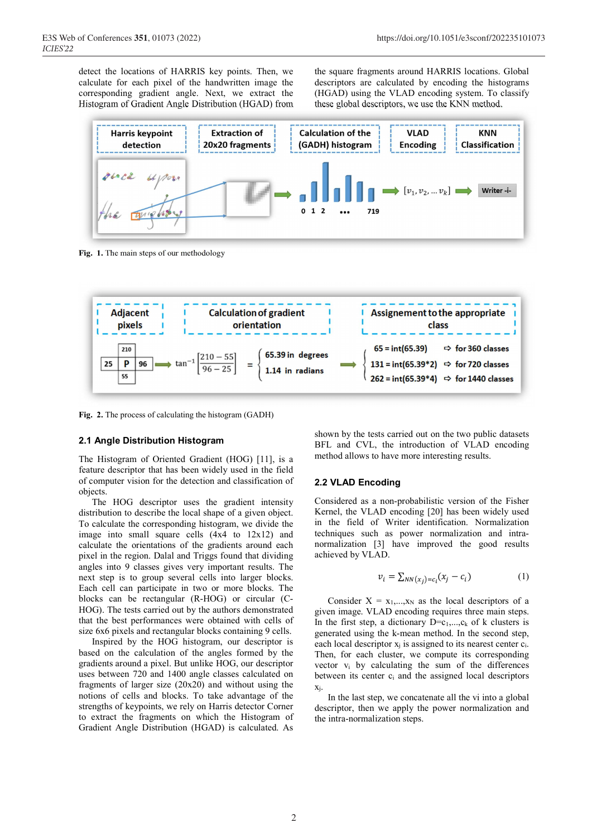detect the locations of HARRIS key points. Then, we calculate for each pixel of the handwritten image the corresponding gradient angle. Next, we extract the Histogram of Gradient Angle Distribution (HGAD) from

the square fragments around HARRIS locations. Global descriptors are calculated by encoding the histograms (HGAD) using the VLAD encoding system. To classify these global descriptors, we use the KNN method.



**Fig. 1.** The main steps of our methodology



**Fig. 2.** The process of calculating the histogram (GADH)

#### **2.1 Angle Distribution Histogram**

The Histogram of Oriented Gradient (HOG) [11], is a feature descriptor that has been widely used in the field of computer vision for the detection and classification of objects.

The HOG descriptor uses the gradient intensity distribution to describe the local shape of a given object. To calculate the corresponding histogram, we divide the image into small square cells (4x4 to 12x12) and calculate the orientations of the gradients around each pixel in the region. Dalal and Triggs found that dividing angles into 9 classes gives very important results. The next step is to group several cells into larger blocks. Each cell can participate in two or more blocks. The blocks can be rectangular (R-HOG) or circular (C-HOG). The tests carried out by the authors demonstrated that the best performances were obtained with cells of size 6x6 pixels and rectangular blocks containing 9 cells.

Inspired by the HOG histogram, our descriptor is based on the calculation of the angles formed by the gradients around a pixel. But unlike HOG, our descriptor uses between 720 and 1400 angle classes calculated on fragments of larger size (20x20) and without using the notions of cells and blocks. To take advantage of the strengths of keypoints, we rely on Harris detector Corner to extract the fragments on which the Histogram of Gradient Angle Distribution (HGAD) is calculated. As

shown by the tests carried out on the two public datasets BFL and CVL, the introduction of VLAD encoding method allows to have more interesting results.

## **2.2 VLAD Encoding**

Considered as a non-probabilistic version of the Fisher Kernel, the VLAD encoding [20] has been widely used in the field of Writer identification. Normalization techniques such as power normalization and intranormalization [3] have improved the good results achieved by VLAD.

$$
v_i = \sum_{NN(x_j) = c_i} (x_j - c_i)
$$
 (1)

Consider  $X = x_1,...,x_N$  as the local descriptors of a given image. VLAD encoding requires three main steps. In the first step, a dictionary  $D=c_1,...,c_k$  of k clusters is generated using the k-mean method. In the second step, each local descriptor  $x_i$  is assigned to its nearest center  $c_i$ . Then, for each cluster, we compute its corresponding vector  $v_i$  by calculating the sum of the differences between its center  $c_i$  and the assigned local descriptors xj.

In the last step, we concatenate all the vi into a global descriptor, then we apply the power normalization and the intra-normalization steps.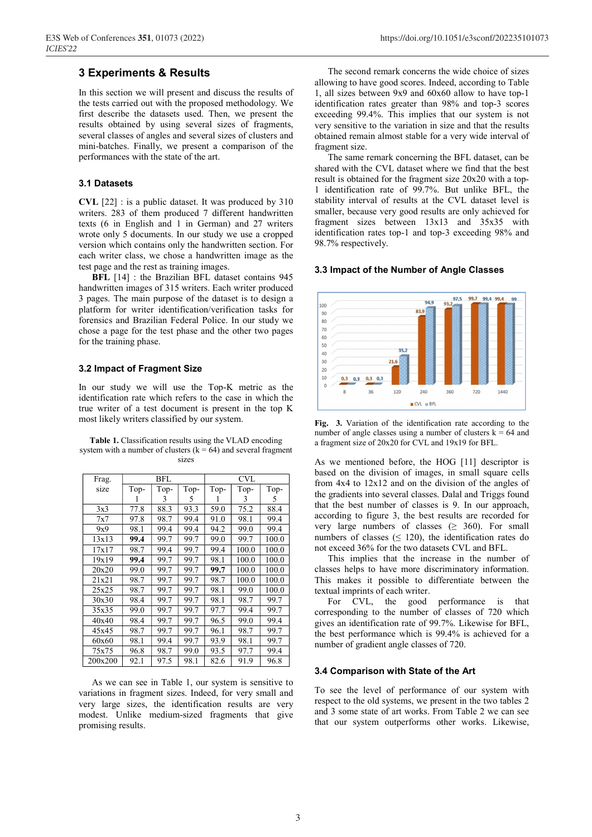### **3 Experiments & Results**

In this section we will present and discuss the results of the tests carried out with the proposed methodology. We first describe the datasets used. Then, we present the results obtained by using several sizes of fragments, several classes of angles and several sizes of clusters and mini-batches. Finally, we present a comparison of the performances with the state of the art.

#### **3.1 Datasets**

**CVL** [22] : is a public dataset. It was produced by 310 writers. 283 of them produced 7 different handwritten texts (6 in English and 1 in German) and 27 writers wrote only 5 documents. In our study we use a cropped version which contains only the handwritten section. For each writer class, we chose a handwritten image as the test page and the rest as training images.

**BFL** [14] : the Brazilian BFL dataset contains 945 handwritten images of 315 writers. Each writer produced 3 pages. The main purpose of the dataset is to design a platform for writer identification/verification tasks for forensics and Brazilian Federal Police. In our study we chose a page for the test phase and the other two pages for the training phase.

#### **3.2 Impact of Fragment Size**

In our study we will use the Top-K metric as the identification rate which refers to the case in which the true writer of a test document is present in the top K most likely writers classified by our system.

**Table 1.** Classification results using the VLAD encoding system with a number of clusters  $(k = 64)$  and several fragment sizes

| Frag.   | BFL  |      |      | <b>CVL</b> |       |       |
|---------|------|------|------|------------|-------|-------|
| size    | Top- | Top- | Top- | Top-       | Top-  | Top-  |
|         |      | 3    | 5    |            | 3     | 5     |
| 3x3     | 77.8 | 88.3 | 93.3 | 59.0       | 75.2  | 88.4  |
| 7x7     | 97.8 | 98.7 | 99.4 | 91.0       | 98.1  | 99.4  |
| 9x9     | 98.1 | 99.4 | 99.4 | 94.2       | 99.0  | 99.4  |
| 13x13   | 99.4 | 99.7 | 99.7 | 99.0       | 99.7  | 100.0 |
| 17x17   | 98.7 | 99.4 | 99.7 | 99.4       | 100.0 | 100.0 |
| 19x19   | 99.4 | 99.7 | 99.7 | 98.1       | 100.0 | 100.0 |
| 20x20   | 99.0 | 99.7 | 99.7 | 99.7       | 100.0 | 100.0 |
| 21x21   | 98.7 | 99.7 | 99.7 | 98.7       | 100.0 | 100.0 |
| 25x25   | 98.7 | 99.7 | 99.7 | 98.1       | 99.0  | 100.0 |
| 30x30   | 98.4 | 99.7 | 99.7 | 98.1       | 98.7  | 99.7  |
| 35x35   | 99.0 | 99.7 | 99.7 | 97.7       | 99.4  | 99.7  |
| 40x40   | 98.4 | 99.7 | 99.7 | 96.5       | 99.0  | 99.4  |
| 45x45   | 98.7 | 99.7 | 99.7 | 96.1       | 98.7  | 99.7  |
| 60x60   | 98.1 | 99.4 | 99.7 | 93.9       | 98.1  | 99.7  |
| 75x75   | 96.8 | 98.7 | 99.0 | 93.5       | 97.7  | 99.4  |
| 200x200 | 92.1 | 97.5 | 98.1 | 82.6       | 91.9  | 96.8  |

As we can see in Table 1, our system is sensitive to variations in fragment sizes. Indeed, for very small and very large sizes, the identification results are very modest. Unlike medium-sized fragments that give promising results.

The second remark concerns the wide choice of sizes allowing to have good scores. Indeed, according to Table 1, all sizes between 9x9 and 60x60 allow to have top-1 identification rates greater than 98% and top-3 scores exceeding 99.4%. This implies that our system is not very sensitive to the variation in size and that the results obtained remain almost stable for a very wide interval of fragment size.

The same remark concerning the BFL dataset, can be shared with the CVL dataset where we find that the best result is obtained for the fragment size 20x20 with a top-1 identification rate of 99.7%. But unlike BFL, the stability interval of results at the CVL dataset level is smaller, because very good results are only achieved for fragment sizes between 13x13 and 35x35 with identification rates top-1 and top-3 exceeding 98% and 98.7% respectively.

#### **3.3 Impact of the Number of Angle Classes**



**Fig. 3.** Variation of the identification rate according to the number of angle classes using a number of clusters  $k = 64$  and a fragment size of 20x20 for CVL and 19x19 for BFL.

As we mentioned before, the HOG [11] descriptor is based on the division of images, in small square cells from 4x4 to 12x12 and on the division of the angles of the gradients into several classes. Dalal and Triggs found that the best number of classes is 9. In our approach, according to figure 3, the best results are recorded for very large numbers of classes  $(≥ 360)$ . For small numbers of classes ( $\leq$  120), the identification rates do not exceed 36% for the two datasets CVL and BFL.

This implies that the increase in the number of classes helps to have more discriminatory information. This makes it possible to differentiate between the textual imprints of each writer.

For CVL, the good performance is that corresponding to the number of classes of 720 which gives an identification rate of 99.7%. Likewise for BFL, the best performance which is 99.4% is achieved for a number of gradient angle classes of 720.

#### **3.4 Comparison with State of the Art**

To see the level of performance of our system with respect to the old systems, we present in the two tables 2 and 3 some state of art works. From Table 2 we can see that our system outperforms other works. Likewise,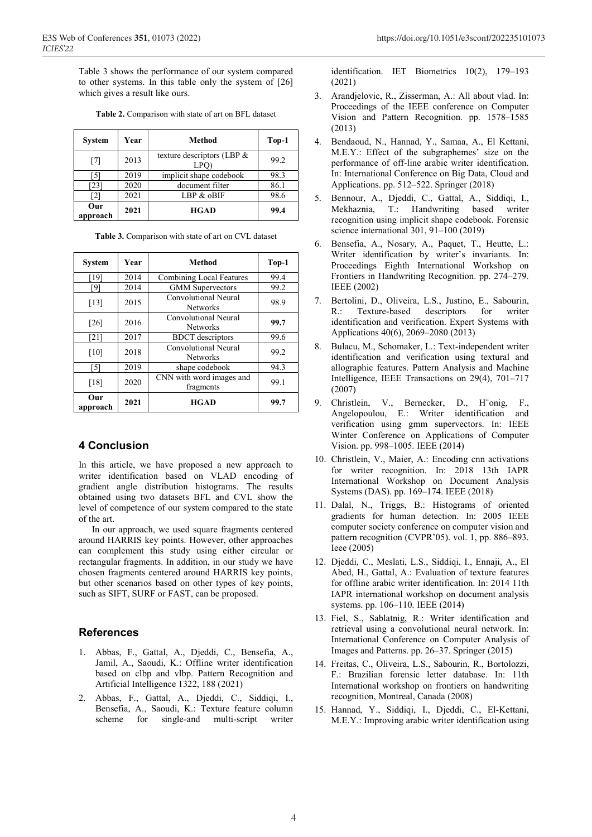Table 3 shows the performance of our system compared to other systems. In this table only the system of [26] which gives a result like ours.

| <b>System</b>   | Year | Method                                            | $Top-1$ |
|-----------------|------|---------------------------------------------------|---------|
| [7]             | 2013 | texture descriptors (LBP $\&$<br>LPO <sup>®</sup> | 99.2    |
| 51              | 2019 | implicit shape codebook                           | 98.3    |
| [23]            | 2020 | document filter                                   | 86.1    |
| 2               | 2021 | LBP & oBIF                                        | 98.6    |
| Our<br>approach | 2021 | <b>HGAD</b>                                       | 99.4    |

**Table 2.** Comparison with state of art on BFL dataset

|  |  |  |  | Table 3. Comparison with state of art on CVL dataset |
|--|--|--|--|------------------------------------------------------|
|--|--|--|--|------------------------------------------------------|

| <b>System</b>     | Year | Method                                  | $Top-1$ |
|-------------------|------|-----------------------------------------|---------|
| [19]              | 2014 | Combining Local Features                | 99.4    |
| [9]               | 2014 | <b>GMM</b> Supervectors                 | 99.2    |
| [13]              | 2015 | Convolutional Neural<br><b>Networks</b> | 98.9    |
| [26]              | 2016 | Convolutional Neural<br><b>Networks</b> | 99.7    |
| [21]              | 2017 | <b>BDCT</b> descriptors                 | 99.6    |
| [10]              | 2018 | Convolutional Neural<br><b>Networks</b> | 99.2    |
| $\lceil 5 \rceil$ | 2019 | shape codebook                          | 94.3    |
| [18]              | 2020 | CNN with word images and<br>fragments   | 99.1    |
| Our<br>approach   | 2021 | <b>HGAD</b>                             | 99.7    |

## **4 Conclusion**

In this article, we have proposed a new approach to writer identification based on VLAD encoding of gradient angle distribution histograms. The results obtained using two datasets BFL and CVL show the level of competence of our system compared to the state of the art.

In our approach, we used square fragments centered around HARRIS key points. However, other approaches can complement this study using either circular or rectangular fragments. In addition, in our study we have chosen fragments centered around HARRIS key points, but other scenarios based on other types of key points, such as SIFT, SURF or FAST, can be proposed.

# **References**

- 1. Abbas, F., Gattal, A., Djeddi, C., Bensefia, A., Jamil, A., Saoudi, K.: Offline writer identification based on clbp and vlbp. Pattern Recognition and Artificial Intelligence 1322, 188 (2021)
- 2. Abbas, F., Gattal, A., Djeddi, C., Siddiqi, I., Bensefia, A., Saoudi, K.: Texture feature column scheme for single-and multi-script writer

identification. IET Biometrics 10(2), 179–193 (2021)

- 3. Arandjelovic, R., Zisserman, A.: All about vlad. In: Proceedings of the IEEE conference on Computer Vision and Pattern Recognition. pp. 1578–1585 (2013)
- 4. Bendaoud, N., Hannad, Y., Samaa, A., El Kettani, M.E.Y.: Effect of the subgraphemes' size on the performance of off-line arabic writer identification. In: International Conference on Big Data, Cloud and Applications. pp. 512–522. Springer (2018)
- 5. Bennour, A., Djeddi, C., Gattal, A., Siddiqi, I., Mekhaznia, T.: Handwriting based writer recognition using implicit shape codebook. Forensic science international 301, 91–100 (2019)
- 6. Bensefia, A., Nosary, A., Paquet, T., Heutte, L.: Writer identification by writer's invariants. In: Proceedings Eighth International Workshop on Frontiers in Handwriting Recognition. pp. 274–279. IEEE (2002)
- 7. Bertolini, D., Oliveira, L.S., Justino, E., Sabourin, R.: Texture-based descriptors for writer identification and verification. Expert Systems with Applications 40(6), 2069–2080 (2013)
- 8. Bulacu, M., Schomaker, L.: Text-independent writer identification and verification using textural and allographic features. Pattern Analysis and Machine Intelligence, IEEE Transactions on 29(4), 701–717 (2007)
- 9. Christlein, V., Bernecker, D., H¨onig, F., Angelopoulou, E.: Writer identification and verification using gmm supervectors. In: IEEE Winter Conference on Applications of Computer Vision. pp. 998–1005. IEEE (2014)
- 10. Christlein, V., Maier, A.: Encoding cnn activations for writer recognition. In: 2018 13th IAPR International Workshop on Document Analysis Systems (DAS). pp. 169–174. IEEE (2018)
- 11. Dalal, N., Triggs, B.: Histograms of oriented gradients for human detection. In: 2005 IEEE computer society conference on computer vision and pattern recognition (CVPR'05). vol. 1, pp. 886–893. Ieee (2005)
- 12. Djeddi, C., Meslati, L.S., Siddiqi, I., Ennaji, A., El Abed, H., Gattal, A.: Evaluation of texture features for offline arabic writer identification. In: 2014 11th IAPR international workshop on document analysis systems. pp. 106–110. IEEE (2014)
- 13. Fiel, S., Sablatnig, R.: Writer identification and retrieval using a convolutional neural network. In: International Conference on Computer Analysis of Images and Patterns. pp. 26–37. Springer (2015)
- 14. Freitas, C., Oliveira, L.S., Sabourin, R., Bortolozzi, F.: Brazilian forensic letter database. In: 11th International workshop on frontiers on handwriting recognition, Montreal, Canada (2008)
- 15. Hannad, Y., Siddiqi, I., Djeddi, C., El-Kettani, M.E.Y.: Improving arabic writer identification using